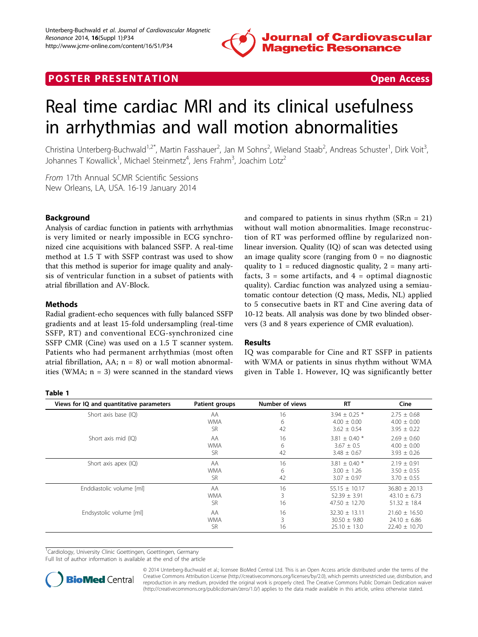

# **POSTER PRESENTATION CONSUMING THE SECOND CONSUMING THE SECOND CONSUMING THE SECOND CONSUMING THE SECOND CONSUMING THE SECOND CONSUMING THE SECOND CONSUMING THE SECOND CONSUMING THE SECOND CONSUMING THE SECOND CONSUMING**



# Real time cardiac MRI and its clinical usefulness in arrhythmias and wall motion abnormalities

Christina Unterberg-Buchwald<sup>1,2\*</sup>, Martin Fasshauer<sup>2</sup>, Jan M Sohns<sup>2</sup>, Wieland Staab<sup>2</sup>, Andreas Schuster<sup>1</sup>, Dirk Voit<sup>3</sup> , Johannes T Kowallick<sup>1</sup>, Michael Steinmetz<sup>4</sup>, Jens Frahm<sup>3</sup>, Joachim Lotz<sup>2</sup>

From 17th Annual SCMR Scientific Sessions New Orleans, LA, USA. 16-19 January 2014

# Background

Analysis of cardiac function in patients with arrhythmias is very limited or nearly impossible in ECG synchronized cine acquisitions with balanced SSFP. A real-time method at 1.5 T with SSFP contrast was used to show that this method is superior for image quality and analysis of ventricular function in a subset of patients with atrial fibrillation and AV-Block.

## Methods

Table 1

Radial gradient-echo sequences with fully balanced SSFP gradients and at least 15-fold undersampling (real-time SSFP, RT) and conventional ECG-synchronized cine SSFP CMR (Cine) was used on a 1.5 T scanner system. Patients who had permanent arrhythmias (most often atrial fibrillation, AA;  $n = 8$ ) or wall motion abnormalities (WMA;  $n = 3$ ) were scanned in the standard views

#### Results

IQ was comparable for Cine and RT SSFP in patients with WMA or patients in sinus rhythm without WMA given in Table 1. However, IQ was significantly better

| Views for IQ and quantitative parameters | Patient groups | Number of views | <b>RT</b>         | Cine              |
|------------------------------------------|----------------|-----------------|-------------------|-------------------|
| Short axis base (IQ)                     | AA             | 16              | $3.94 \pm 0.25$ * | $2.75 \pm 0.68$   |
|                                          | <b>WMA</b>     | 6               | $4.00 + 0.00$     | $4.00 \pm 0.00$   |
|                                          | <b>SR</b>      | 42              | $3.62 \pm 0.54$   | $3.95 \pm 0.22$   |
| Short axis mid (IQ)                      | AA             | 16              | $3.81 \pm 0.40$ * | $2.69 \pm 0.60$   |
|                                          | <b>WMA</b>     | 6               | $3.67 \pm 0.5$    | $4.00 \pm 0.00$   |
|                                          | <b>SR</b>      | 42              | $3.48 \pm 0.67$   | $3.93 \pm 0.26$   |
| Short axis apex (IQ)                     | AA             | 16              | $3.81 + 0.40*$    | $2.19 \pm 0.91$   |
|                                          | <b>WMA</b>     | 6               | $3.00 + 1.26$     | $3.50 \pm 0.55$   |
|                                          | <b>SR</b>      | 42              | $3.07 \pm 0.97$   | $3.70 \pm 0.55$   |
| Enddiastolic volume [ml]                 | AA             | 16              | $55.15 + 10.17$   | $36.80 \pm 20.13$ |
|                                          | <b>WMA</b>     | 3               | $52.39 \pm 3.91$  | $43.10 \pm 6.73$  |
|                                          | <b>SR</b>      | 16              | $47.50 \pm 12.70$ | $51.32 \pm 18.4$  |
| Endsystolic volume [ml]                  | AA             | 16              | $32.30 \pm 13.11$ | $21.60 \pm 16.50$ |
|                                          | <b>WMA</b>     | 3               | $30.50 \pm 9.80$  | $24.10 \pm 6.86$  |
|                                          | <b>SR</b>      | 16              | $25.10 \pm 13.0$  | $22.40 \pm 10.70$ |

<sup>1</sup>Cardiology, University Clinic Goettingen, Goettingen, Germany

Full list of author information is available at the end of the article



© 2014 Unterberg-Buchwald et al.; licensee BioMed Central Ltd. This is an Open Access article distributed under the terms of the Creative Commons Attribution License (<http://creativecommons.org/licenses/by/2.0>), which permits unrestricted use, distribution, and reproduction in any medium, provided the original work is properly cited. The Creative Commons Public Domain Dedication waiver [\(http://creativecommons.org/publicdomain/zero/1.0/](http://creativecommons.org/publicdomain/zero/1.0/)) applies to the data made available in this article, unless otherwise stated.